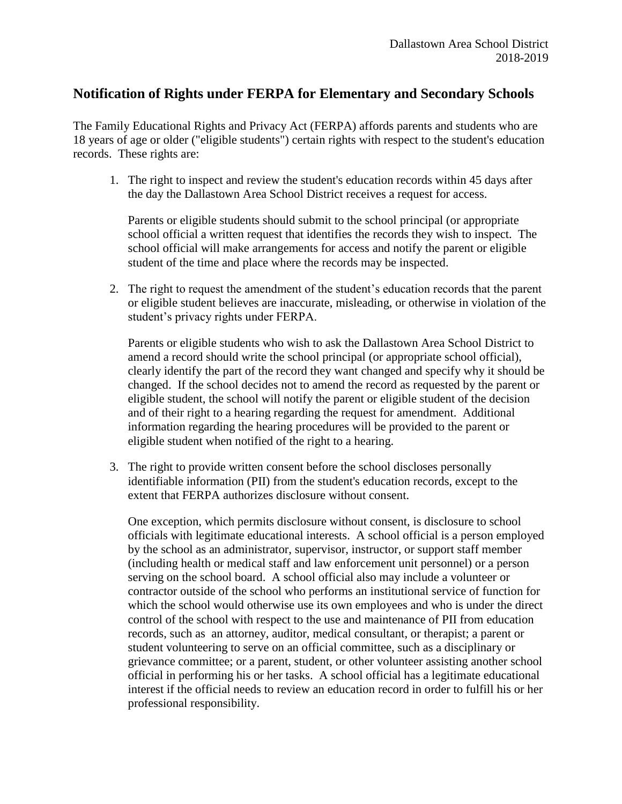## **Notification of Rights under FERPA for Elementary and Secondary Schools**

The Family Educational Rights and Privacy Act (FERPA) affords parents and students who are 18 years of age or older ("eligible students") certain rights with respect to the student's education records. These rights are:

1. The right to inspect and review the student's education records within 45 days after the day the Dallastown Area School District receives a request for access.

Parents or eligible students should submit to the school principal (or appropriate school official a written request that identifies the records they wish to inspect. The school official will make arrangements for access and notify the parent or eligible student of the time and place where the records may be inspected.

2. The right to request the amendment of the student's education records that the parent or eligible student believes are inaccurate, misleading, or otherwise in violation of the student's privacy rights under FERPA.

Parents or eligible students who wish to ask the Dallastown Area School District to amend a record should write the school principal (or appropriate school official), clearly identify the part of the record they want changed and specify why it should be changed. If the school decides not to amend the record as requested by the parent or eligible student, the school will notify the parent or eligible student of the decision and of their right to a hearing regarding the request for amendment. Additional information regarding the hearing procedures will be provided to the parent or eligible student when notified of the right to a hearing.

3. The right to provide written consent before the school discloses personally identifiable information (PII) from the student's education records, except to the extent that FERPA authorizes disclosure without consent.

One exception, which permits disclosure without consent, is disclosure to school officials with legitimate educational interests. A school official is a person employed by the school as an administrator, supervisor, instructor, or support staff member (including health or medical staff and law enforcement unit personnel) or a person serving on the school board. A school official also may include a volunteer or contractor outside of the school who performs an institutional service of function for which the school would otherwise use its own employees and who is under the direct control of the school with respect to the use and maintenance of PII from education records, such as an attorney, auditor, medical consultant, or therapist; a parent or student volunteering to serve on an official committee, such as a disciplinary or grievance committee; or a parent, student, or other volunteer assisting another school official in performing his or her tasks. A school official has a legitimate educational interest if the official needs to review an education record in order to fulfill his or her professional responsibility.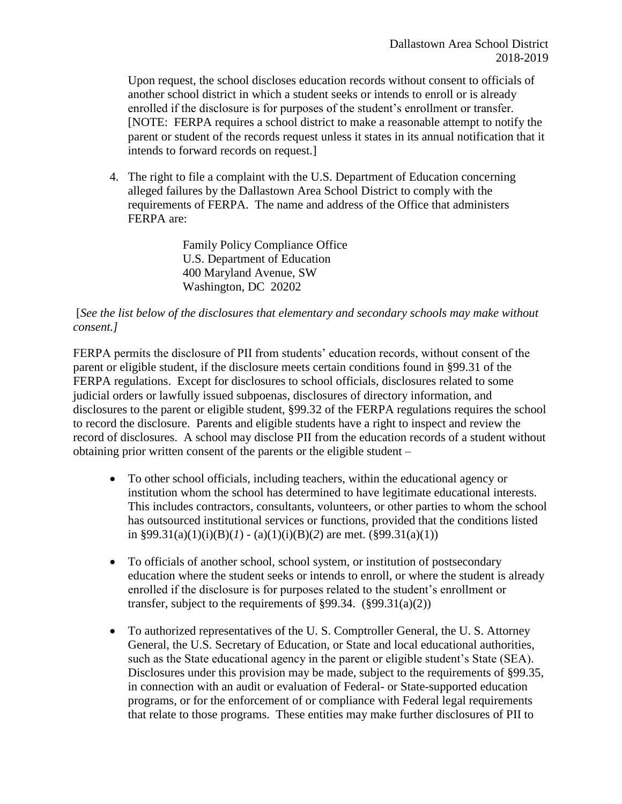Upon request, the school discloses education records without consent to officials of another school district in which a student seeks or intends to enroll or is already enrolled if the disclosure is for purposes of the student's enrollment or transfer. [NOTE: FERPA requires a school district to make a reasonable attempt to notify the parent or student of the records request unless it states in its annual notification that it intends to forward records on request.]

4. The right to file a complaint with the U.S. Department of Education concerning alleged failures by the Dallastown Area School District to comply with the requirements of FERPA. The name and address of the Office that administers FERPA are:

> Family Policy Compliance Office U.S. Department of Education 400 Maryland Avenue, SW Washington, DC 20202

## [*See the list below of the disclosures that elementary and secondary schools may make without consent.]*

FERPA permits the disclosure of PII from students' education records, without consent of the parent or eligible student, if the disclosure meets certain conditions found in §99.31 of the FERPA regulations. Except for disclosures to school officials, disclosures related to some judicial orders or lawfully issued subpoenas, disclosures of directory information, and disclosures to the parent or eligible student, §99.32 of the FERPA regulations requires the school to record the disclosure. Parents and eligible students have a right to inspect and review the record of disclosures. A school may disclose PII from the education records of a student without obtaining prior written consent of the parents or the eligible student –

- To other school officials, including teachers, within the educational agency or institution whom the school has determined to have legitimate educational interests. This includes contractors, consultants, volunteers, or other parties to whom the school has outsourced institutional services or functions, provided that the conditions listed in §99.31(a)(1)(i)(B)(*l*) - (a)(1)(i)(B)(2) are met. (§99.31(a)(1))
- To officials of another school, school system, or institution of postsecondary education where the student seeks or intends to enroll, or where the student is already enrolled if the disclosure is for purposes related to the student's enrollment or transfer, subject to the requirements of  $\S 99.34.$   $(\S 99.31(a)(2))$
- To authorized representatives of the U. S. Comptroller General, the U. S. Attorney General, the U.S. Secretary of Education, or State and local educational authorities, such as the State educational agency in the parent or eligible student's State (SEA). Disclosures under this provision may be made, subject to the requirements of §99.35, in connection with an audit or evaluation of Federal- or State-supported education programs, or for the enforcement of or compliance with Federal legal requirements that relate to those programs. These entities may make further disclosures of PII to